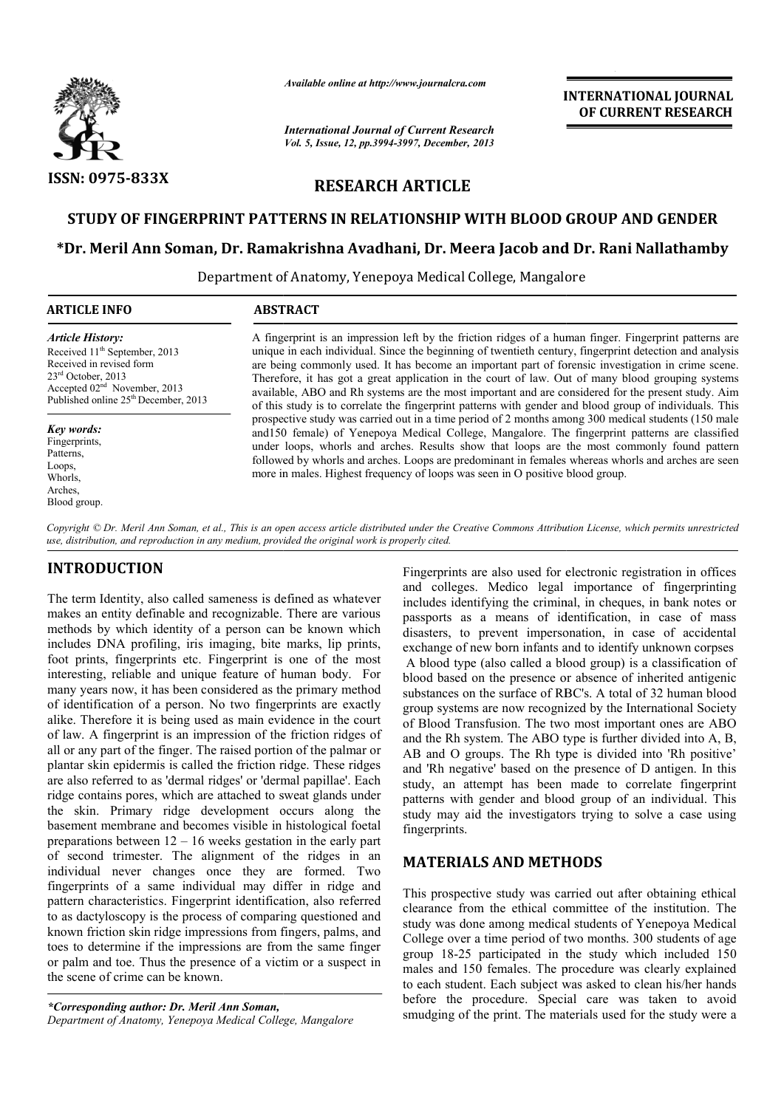

*Available online at http://www.journalcra.com*

*International Journal of Current Research Vol. 5, Issue, 12, pp.3994-3997, December, 2013*

## INTERNATIONAL JOURNAL OF CURRENT RESEARCH

# RESEARCH ARTICLE

## STUDY OF FINGERPRINT PATTERNS IN RELATIONSHIP WITH BLOOD GROUP AND GENDER

# STUDY OF FINGERPRINT PATTERNS IN RELATIONSHIP WITH BLOOD GROUP AND GENDER<br>Dr. Meril Ann Soman, Dr. Ramakrishna Avadhani, Dr. Meera Jacob and Dr. Rani Nallathamby\*

Department of Anatomy, Yenepoya Medical College, Mangalore Department of

| <b>ARTICLE INFO</b>                                                                                                                                                                                                                                                                                                  | <b>ABSTRACT</b>                                                                                                                                                                                                                                                                                                                                                                                                                                                                                                                                                                                                                               |
|----------------------------------------------------------------------------------------------------------------------------------------------------------------------------------------------------------------------------------------------------------------------------------------------------------------------|-----------------------------------------------------------------------------------------------------------------------------------------------------------------------------------------------------------------------------------------------------------------------------------------------------------------------------------------------------------------------------------------------------------------------------------------------------------------------------------------------------------------------------------------------------------------------------------------------------------------------------------------------|
| <b>Article History:</b><br>Received 11 <sup>th</sup> September, 2013<br>Received in revised form<br>$23rd$ October, 2013<br>Accepted 02 <sup>nd</sup> November, 2013<br>Published online 25 <sup>th</sup> December, 2013<br>Key words:<br>Fingerprints,<br>Patterns.<br>Loops,<br>Whorls.<br>Arches,<br>Blood group. | A fingerprint is an impression left by the friction ridges of a human finger. Fingerprint patterns are<br>unique in each individual. Since the beginning of twentieth century, fingerprint detection and analysis<br>are being commonly used. It has become an important part of forensic investigation in crime scene.<br>Therefore, it has got a great application in the court of law. Out of many blood grouping systems<br>available, ABO and Rh systems are the most important and are considered for the present study. Aim<br>of this study is to correlate the fingerprint patterns with gender and blood group of individuals. This |
|                                                                                                                                                                                                                                                                                                                      | prospective study was carried out in a time period of 2 months among 300 medical students (150 male<br>and 150 female) of Yenepoya Medical College, Mangalore. The fingerprint patterns are classified<br>under loops, whorls and arches. Results show that loops are the most commonly found pattern<br>followed by whorls and arches. Loops are predominant in females whereas whorls and arches are seen<br>more in males. Highest frequency of loops was seen in O positive blood group.                                                                                                                                                  |

Copyright © Dr. Meril Ann Soman, et al., This is an open access article distributed under the Creative Commons Attribution License, which permits unrestricted *use, distribution, and reproduction in any medium, provided the original work is properly cited.*

# INTRODUCTION

The term Identity, also called sameness is defined as whatever makes an entity definable and recognizable. There are various methods by which identity of a person can be known which includes DNA profiling, iris imaging, bite marks, lip prints, foot prints, fingerprints etc. Fingerprint is one of the most interesting, reliable and unique feature of human body. For many years now, it has been considered as the primary method of identification of a person. No two fingerprints are exactly alike. Therefore it is being used as main evidence in the court of law. A fingerprint is an impression of the friction ridges of all or any part of the finger. The raised portion of the palmar or plantar skin epidermis is called the friction ridge. These ridges are also referred to as 'dermal ridges' or 'dermal papillae'. Each ridge contains pores, which are attached to sweat glands under the skin. Primary ridge development occurs along the basement membrane and becomes visible in histological foetal preparations between 12 – 16 weeks gestation in the early part of second trimester. The alignment of the ridges in an individual never changes once they are formed. Two fingerprints of a same individual may differ in ridge and pattern characteristics. Fingerprint identification, also referred to as dactyloscopy is the process of comparing questioned and known friction skin ridge impressions from fingers, palms, and toes to determine if the impressions are from the same finger or palm and toe. Thus the presence of a victim or a suspect in the scene of crime can be known.

*\*Corresponding author: Dr. Meril Ann Soman, Department of Anatomy, Yenepoya Medical College, Mangalore*

Fingerprints are also used for electronic registration in offices<br>
image is used for electronic registration in offices<br>
and colleges. Medico legal importance of fingerprinting<br>
are also used for electronic registrations, and colleges. Medico legal importance of fingerprinting includes identifying the criminal, in cheques, in bank notes or passports as a means of identification, in case of mass disasters, to prevent impersonation, in case of accidental exchange of new born infants and to identify unknown corpses A blood type (also called a blood group) is a classification of blood based on the presence or absence of inherited antigenic blood based on the presence or absence of inherited antigenic substances on the surface of RBC's. A total of 32 human blood group systems are now recognized by the International Society of Blood Transfusion. The two most important ones are ABO and the Rh system. The ABO type is further divided into A, B, and the Rh system. The ABO type is further divided into A, B, AB and O groups. The Rh type is divided into 'Rh positive' and 'Rh negative' based on the presence of D antigen. In this study, an attempt has been made to correlate fingerprint patterns with gender and blood group of an individual. This study may aid the investigators trying to solve a case using fingerprints. ints are also used for electronic registration in offices<br>eges. Medico legal importance of fingerprinting<br>identifying the criminal, in cheques, in bank notes or 'Rh negative' based on the presence of D antigen. In this y, an attempt has been made to correlate fingerprint rms with gender and blood group of an individual. This y may aid the investigators trying to solve a case using **EXERCT SPECT ASSEE ANTIFICAT CONSTRANT CONSTRANT ON THE COMBE CONSTRANT ON THE SPECIAL CARE COMBE AND COMBE ACT AND COMBE AND COMBE AND COMBE AND COMBE AND COMBE AND COMBE AND COMBE IN COMBET AND COMBET AND COMBET AND COM** 

## MATERIALS AND METHODS METHODS

This prospective study was carried out after obtaining ethical clearance from the ethical committee of the institution. The study was done among medical students of Yenepoya Medical This prospective study was carried out after obtaining ethical clearance from the ethical committee of the institution. The study was done among medical students of Yenepoya Medical College over a time period of two months group 18-25 participated in the study which included 150 males and 150 females. The procedure was clearly explained to each student. Each subject was asked to clean his/her hands before the procedure. Special care was taken to avoid smudging of the print. The materials used for the study were a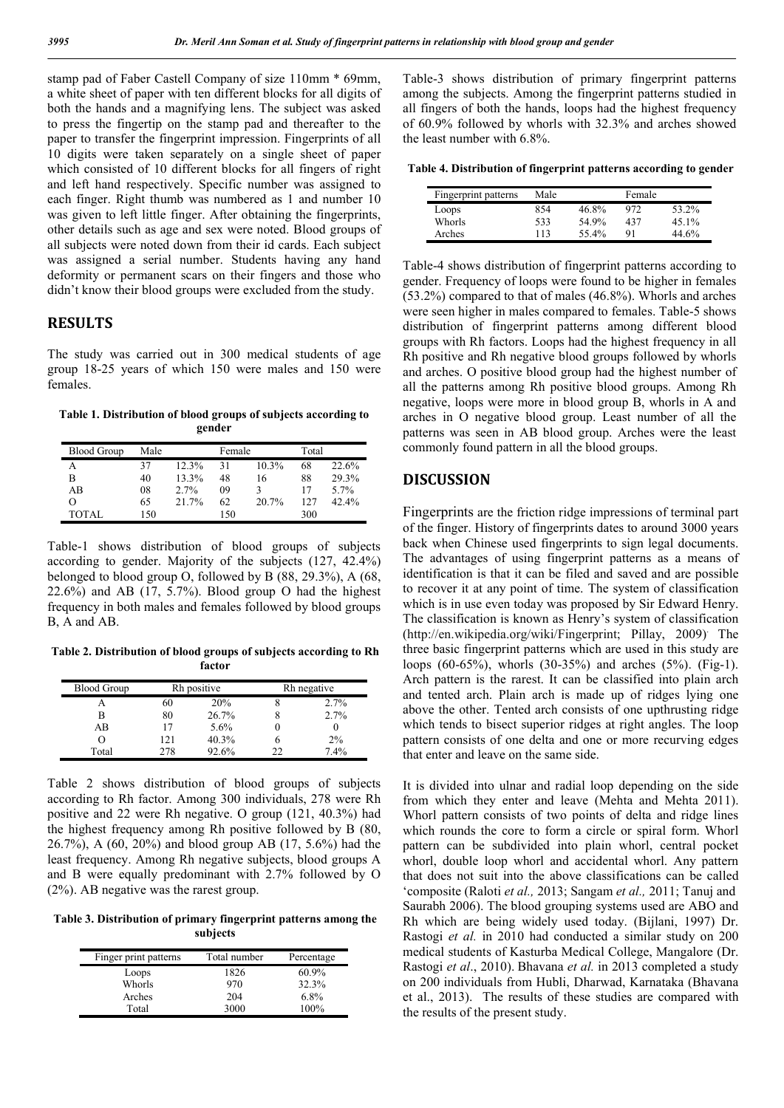stamp pad of Faber Castell Company of size 110mm \* 69mm, a white sheet of paper with ten different blocks for all digits of both the hands and a magnifying lens. The subject was asked to press the fingertip on the stamp pad and thereafter to the paper to transfer the fingerprint impression. Fingerprints of all 10 digits were taken separately on a single sheet of paper which consisted of 10 different blocks for all fingers of right and left hand respectively. Specific number was assigned to each finger. Right thumb was numbered as 1 and number 10 was given to left little finger. After obtaining the fingerprints, other details such as age and sex were noted. Blood groups of all subjects were noted down from their id cards. Each subject was assigned a serial number. Students having any hand deformity or permanent scars on their fingers and those who didn't know their blood groups were excluded from the study.

### RESULTS

The study was carried out in 300 medical students of age group 18-25 years of which 150 were males and 150 were females.

Table 1. Distribution of blood groups of subjects according to gender

| <b>Blood Group</b> | Male |       | Female |       | Total |          |
|--------------------|------|-------|--------|-------|-------|----------|
|                    | 37   | 12.3% | 31     | 10.3% | 68    | 22.6%    |
| B                  | 40   | 13.3% | 48     | 16    | 88    | 29.3%    |
| AB                 | 08   | 2.7%  | 09     |       |       | $5.7\%$  |
| O                  | 65   | 21.7% | 62     | 20.7% | 127   | $42.4\%$ |
| TOTAL              | 150  |       | 150    |       | 300   |          |

Table-1 shows distribution of blood groups of subjects according to gender. Majority of the subjects (127, 42.4%) belonged to blood group O, followed by B (88, 29.3%), A (68,  $22.6\%$ ) and AB (17, 5.7%). Blood group O had the highest frequency in both males and females followed by blood groups B, A and AB.

Table 2. Distribution of blood groups of subjects according to Rh factor

| <b>Blood Group</b> |     | Rh positive |    | Rh negative |
|--------------------|-----|-------------|----|-------------|
|                    | 60  | 20%         |    | 2.7%        |
| В                  | 80  | 26.7%       |    | 2.7%        |
| AB                 | 17  | $5.6\%$     |    |             |
|                    | 121 | 40.3%       | n  | $2\%$       |
| Total              | 278 | 92.6%       | າາ | 7.4%        |

Table 2 shows distribution of blood groups of subjects according to Rh factor. Among 300 individuals, 278 were Rh positive and 22 were Rh negative. O group (121, 40.3%) had the highest frequency among Rh positive followed by B (80, 26.7%), A (60, 20%) and blood group AB (17, 5.6%) had the least frequency. Among Rh negative subjects, blood groups A and B were equally predominant with 2.7% followed by O (2%). AB negative was the rarest group.

Table 3. Distribution of primary fingerprint patterns among the subjects

| Finger print patterns | Total number | Percentage |
|-----------------------|--------------|------------|
| Loops                 | 1826         | $60.9\%$   |
| Whorls                | 970          | 32.3%      |
| Arches                | 204          | $6.8\%$    |
| Total                 | 3000         | 100%       |

Table-3 shows distribution of primary fingerprint patterns among the subjects. Among the fingerprint patterns studied in all fingers of both the hands, loops had the highest frequency of 60.9% followed by whorls with 32.3% and arches showed the least number with 6.8%.

| Table 4. Distribution of fingerprint patterns according to gender |  |  |
|-------------------------------------------------------------------|--|--|
|-------------------------------------------------------------------|--|--|

| Fingerprint patterns | Male |       | Female |       |
|----------------------|------|-------|--------|-------|
| Loops                | 854  | 46.8% | 972    | 53.2% |
| Whorls               | 533  | 54 9% | 437    | 45.1% |
| Arches               | 113  | 55.4% | 91     | 44.6% |

Table-4 shows distribution of fingerprint patterns according to gender. Frequency of loops were found to be higher in females (53.2%) compared to that of males (46.8%). Whorls and arches were seen higher in males compared to females. Table-5 shows distribution of fingerprint patterns among different blood groups with Rh factors. Loops had the highest frequency in all Rh positive and Rh negative blood groups followed by whorls and arches. O positive blood group had the highest number of all the patterns among Rh positive blood groups. Among Rh negative, loops were more in blood group B, whorls in A and arches in O negative blood group. Least number of all the patterns was seen in AB blood group. Arches were the least commonly found pattern in all the blood groups.

### DISCUSSION

Fingerprints are the friction ridge impressions of terminal part of the finger. History of fingerprints dates to around 3000 years back when Chinese used fingerprints to sign legal documents. The advantages of using fingerprint patterns as a means of identification is that it can be filed and saved and are possible to recover it at any point of time. The system of classification which is in use even today was proposed by Sir Edward Henry. The classification is known as Henry's system of classification (http://en.wikipedia.org/wiki/Fingerprint; Pillay, 2009) . The three basic fingerprint patterns which are used in this study are loops (60-65%), whorls (30-35%) and arches (5%). (Fig-1). Arch pattern is the rarest. It can be classified into plain arch and tented arch. Plain arch is made up of ridges lying one above the other. Tented arch consists of one upthrusting ridge which tends to bisect superior ridges at right angles. The loop pattern consists of one delta and one or more recurving edges that enter and leave on the same side.

It is divided into ulnar and radial loop depending on the side from which they enter and leave (Mehta and Mehta 2011). Whorl pattern consists of two points of delta and ridge lines which rounds the core to form a circle or spiral form. Whorl pattern can be subdivided into plain whorl, central pocket whorl, double loop whorl and accidental whorl. Any pattern that does not suit into the above classifications can be called 'composite (Raloti *et al.,* 2013; Sangam *et al.,* 2011; Tanuj and Saurabh 2006). The blood grouping systems used are ABO and Rh which are being widely used today. (Bijlani, 1997) Dr. Rastogi *et al.* in 2010 had conducted a similar study on 200 medical students of Kasturba Medical College, Mangalore (Dr. Rastogi *et al*., 2010). Bhavana *et al.* in 2013 completed a study on 200 individuals from Hubli, Dharwad, Karnataka (Bhavana et al., 2013). The results of these studies are compared with the results of the present study.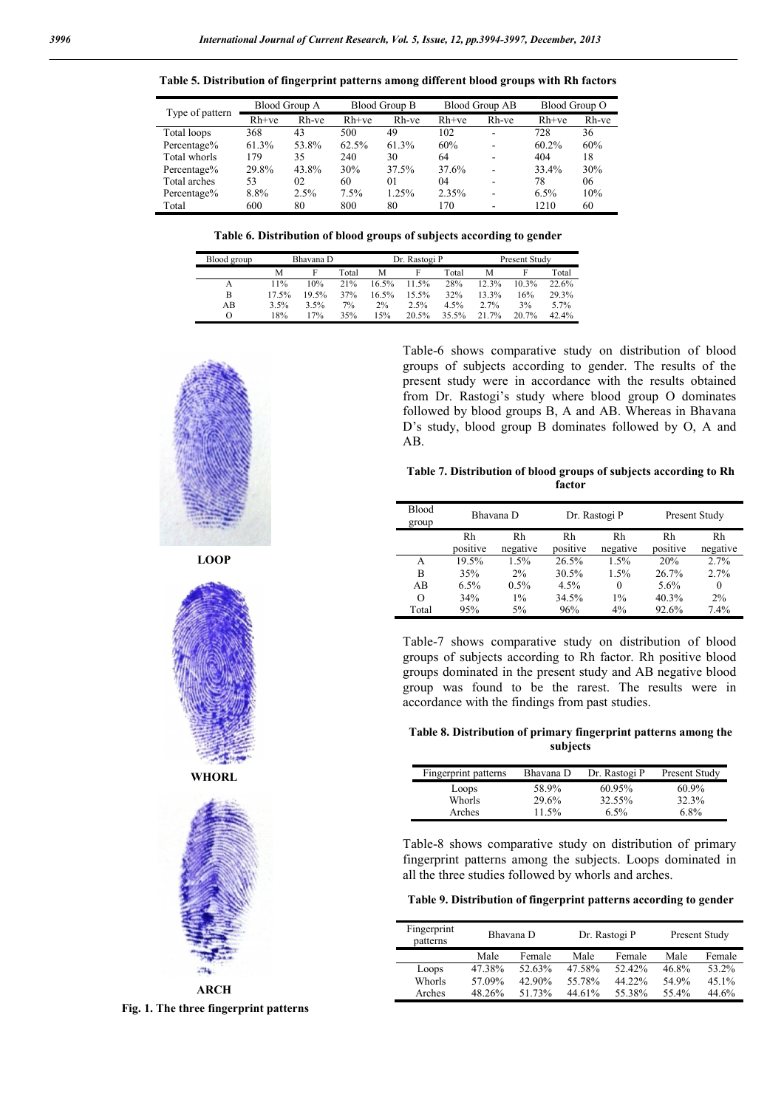|                 |         | Blood Group A |         | Blood Group B<br><b>Blood Group AB</b> |         |       | Blood Group O |       |
|-----------------|---------|---------------|---------|----------------------------------------|---------|-------|---------------|-------|
| Type of pattern | $Rh+ve$ | Rh-ve         | $Rh+ve$ | Rh-ve                                  | $Rh+ve$ | Rh-ve | $Rh+ve$       | Rh-ve |
| Total loops     | 368     | 43            | 500     | 49                                     | 102     | ۰     | 728           | 36    |
| Percentage%     | 61.3%   | 53.8%         | 62.5%   | 61.3%                                  | 60%     | -     | $60.2\%$      | 60%   |
| Total whorls    | 179     | 35            | 240     | 30                                     | 64      | ۰     | 404           | 18    |
| Percentage%     | 29.8%   | 43.8%         | 30%     | 37.5%                                  | 37.6%   | ۰     | 33.4%         | 30%   |
| Total arches    | 53      | 02            | 60      | 01                                     | 04      | -     | 78            | 06    |
| Percentage%     | 8.8%    | 2.5%          | 7.5%    | 1.25%                                  | 2.35%   | ۰     | 6.5%          | 10%   |
| Total           | 600     | 80            | 800     | 80                                     | 170     |       | 1210          | 60    |

Table 5. Distribution of fingerprint patterns among different blood groups with Rh factors

| Table 6. Distribution of blood groups of subjects according to gender |  |  |  |  |  |
|-----------------------------------------------------------------------|--|--|--|--|--|
|-----------------------------------------------------------------------|--|--|--|--|--|

| Blood group | Bhavana D |       |       | Dr. Rastogi P |       |       | <b>Present Study</b> |       |       |
|-------------|-----------|-------|-------|---------------|-------|-------|----------------------|-------|-------|
|             | М         |       | Total | M             |       | Total | M                    |       | Total |
| А           | 11%       | 10%   | 21%   | 16.5%         | 11.5% | 28%   | 12.3%                | 10.3% | 22.6% |
| B           | 17.5%     | 19.5% | 37%   | 16.5%         | 15.5% | 32%   | 13.3%                | 16%   | 29.3% |
| AB          | 3.5%      | 3.5%  | 7%    | 2%            | 2.5%  | 4.5%  | 2.7%                 | 3%    | 5.7%  |
| O           | 18%       | 17%   | 35%   | 15%           | 20.5% | 35.5% | 21.7%                | 20.7% | 42.4% |



LOOP



ARCH Fig. 1. The three fingerprint patterns

Table-6 shows comparative study on distribution of blood groups of subjects according to gender. The results of the present study were in accordance with the results obtained from Dr. Rastogi's study where blood group O dominates followed by blood groups B, A and AB. Whereas in Bhavana D's study, blood group B dominates followed by O, A and AB.

Table 7. Distribution of blood groups of subjects according to Rh factor

| <b>Blood</b><br>group | Bhavana D |          |          | Dr. Rastogi P |          | Present Study |  |
|-----------------------|-----------|----------|----------|---------------|----------|---------------|--|
|                       | Rh        | Rh       | Rh       | Rh            | Rh       | Rh            |  |
|                       | positive  | negative | positive | negative      | positive | negative      |  |
| A                     | 19.5%     | 1.5%     | 26.5%    | 1.5%          | 20%      | 2.7%          |  |
| B                     | 35%       | 2%       | 30.5%    | 1.5%          | 26.7%    | 2.7%          |  |
| AB                    | 6.5%      | 0.5%     | 4.5%     | $\theta$      | 5.6%     | $\theta$      |  |
| O                     | 34%       | $1\%$    | 34.5%    | $1\%$         | 40.3%    | $2\%$         |  |
| Total                 | 95%       | 5%       | 96%      | $4\%$         | 92.6%    | 7.4%          |  |

Table-7 shows comparative study on distribution of blood groups of subjects according to Rh factor. Rh positive blood groups dominated in the present study and AB negative blood group was found to be the rarest. The results were in accordance with the findings from past studies.

Table 8. Distribution of primary fingerprint patterns among the subjects

| Fingerprint patterns | Bhavana D | Dr. Rastogi P | Present Study |
|----------------------|-----------|---------------|---------------|
| Loops                | 58.9%     | 60.95%        | $60.9\%$      |
| Whorls               | 29.6%     | 32.55%        | 32.3%         |
| Arches               | $11.5\%$  | $6.5\%$       | $6.8\%$       |

Table-8 shows comparative study on distribution of primary fingerprint patterns among the subjects. Loops dominated in all the three studies followed by whorls and arches.

Table 9. Distribution of fingerprint patterns according to gender

| Fingerprint<br>patterns | Bhavana D |        | Dr. Rastogi P |        | Present Study |          |  |
|-------------------------|-----------|--------|---------------|--------|---------------|----------|--|
|                         | Male      | Female | Male          | Female | Male          | Female   |  |
| Loops                   | 47.38%    | 52.63% | 47.58%        | 52.42% | 46.8%         | 53.2%    |  |
| Whorls                  | 57.09%    | 42.90% | 55.78%        | 44.22% | 54.9%         | $45.1\%$ |  |
| Arches                  | 48.26%    | 51 73% | 44.61%        | 55.38% | 55.4%         | 44.6%    |  |